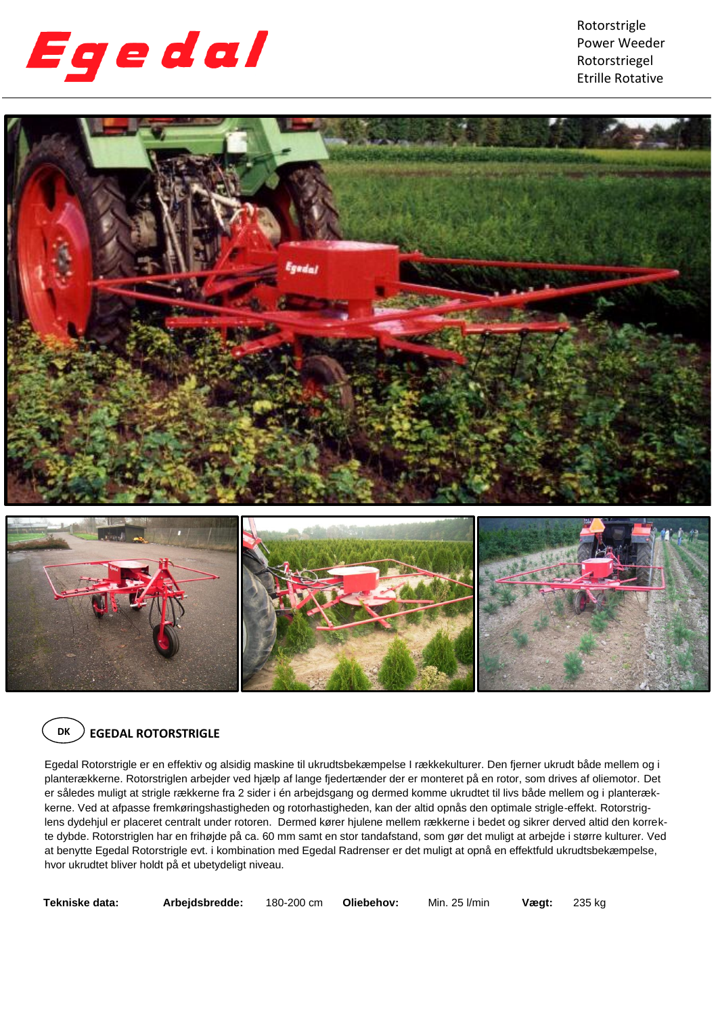

Rotorstrigle Power Weeder Rotorstriegel Etrille Rotative



## **DK EGEDAL ROTORSTRIGLE**

Egedal Rotorstrigle er en effektiv og alsidig maskine til ukrudtsbekæmpelse I rækkekulturer. Den fjerner ukrudt både mellem og i planterækkerne. Rotorstriglen arbejder ved hjælp af lange fjedertænder der er monteret på en rotor, som drives af oliemotor. Det er således muligt at strigle rækkerne fra 2 sider i én arbejdsgang og dermed komme ukrudtet til livs både mellem og i planterækkerne. Ved at afpasse fremkøringshastigheden og rotorhastigheden, kan der altid opnås den optimale strigle-effekt. Rotorstriglens dydehjul er placeret centralt under rotoren. Dermed kører hjulene mellem rækkerne i bedet og sikrer derved altid den korrekte dybde. Rotorstriglen har en frihøjde på ca. 60 mm samt en stor tandafstand, som gør det muligt at arbejde i større kulturer. Ved at benytte Egedal Rotorstrigle evt. i kombination med Egedal Radrenser er det muligt at opnå en effektfuld ukrudtsbekæmpelse, hvor ukrudtet bliver holdt på et ubetydeligt niveau.

**DK**

**Tekniske data: Arbejdsbredde:** 180-200 cm **Oliebehov:** Min. 25 l/min **Vægt:** 235 kg